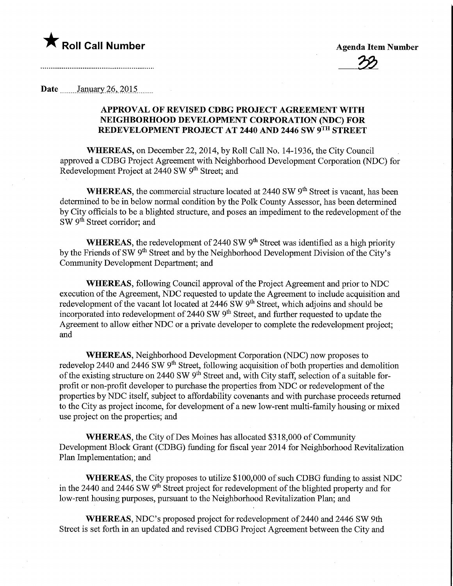

## Date January 26, 2015

## APPROVAL OF REVISED CDBG PROJECT AGREEMENT WITH NEIGHBORHOOD DEVELOPMENT CORPORATION (NDC) FOR REDEVELOPMENT PROJECT AT 2440 AND 2446 SW 9TH STREET

WHEREAS, on December 22, 2014, by Roll Call No. 14-1936, the City Council approved a CDBG Project Agreement with Neighborhood Development Corporation (NDC) for Redevelopment Project at 2440 SW 9<sup>th</sup> Street; and

WHEREAS, the commercial structure located at  $2440$  SW  $9<sup>th</sup>$  Street is vacant, has been determined to be in below normal condition by the Polk County Assessor, has been determined by City officials to be a blighted structure, and poses an impediment to the redevelopment of the SW 9<sup>th</sup> Street corridor; and

WHEREAS, the redevelopment of 2440 SW  $9<sup>th</sup>$  Street was identified as a high priority by the Friends of SW 9<sup>th</sup> Street and by the Neighborhood Development Division of the City's Community Development Department; and

WHEREAS, following Council approval of the Project Agreement and prior to NDC execution of the Agreement, NDC requested to update the Agreement to include acquisition and redevelopment of the vacant lot located at 2446 SW 9<sup>th</sup> Street, which adjoins and should be incorporated into redevelopment of 2440 SW 9<sup>th</sup> Street, and further requested to update the Agreement to allow either NDC or a private developer to complete the redevelopment project; and

WHEREAS, Neighborhood Development Corporation (NDC) now proposes to redevelop 2440 and 2446 SW 9<sup>th</sup> Street, following acquisition of both properties and demolition of the existing structure on 2440 SW  $9<sup>th</sup>$  Street and, with City staff, selection of a suitable forprofit or non-profit developer to purchase the properties from NDC or redevelopment of the properties by NDC itself, subject to affordability covenants and with purchase proceeds returned to the City as project income, for development of a new low-rent multi-family housing or mixed use project on the properties; and

WHEREAS, the City of Des Moines has allocated \$318,000 of Community Development Block Grant (CDBG) funding for fiscal year 2014 for Neighborhood Revitalization Plan Implementation; and

WHEREAS, the City proposes to utilize \$100,000 of such CDBG funding to assist NDC in the 2440 and 2446 SW 9<sup>th</sup> Street project for redevelopment of the blighted property and for low-rent housing purposes, pursuant to the Neighborhood Revitalization Plan; and

WHEREAS, NDC's proposed project for redevelopment of 2440 and 2446 SW 9th Street is set forth in an updated and revised CDBG Project Agreement between the City and